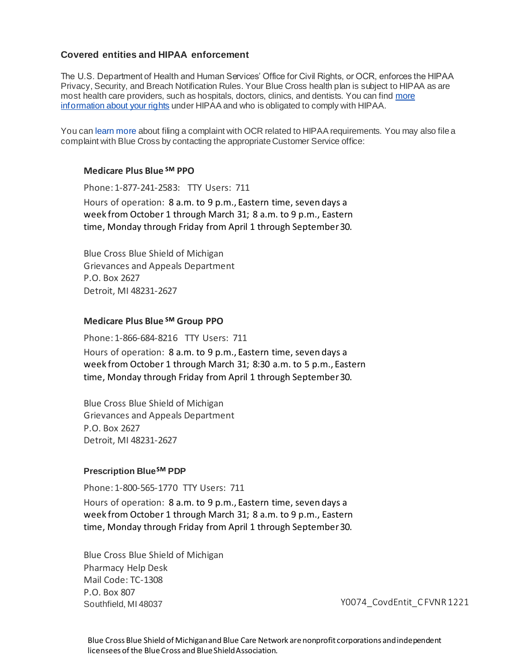## **Covered entities and HIPAA enforcement**

The U.S. Department of Health and Human Services' Office for Civil Rights, or OCR, enforces the HIPAA Privacy, Security, and Breach Notification Rules. Your Blue Cross health plan is subject to HIPAA as are most health care providers, such as hospitals, doctors, clinics, and dentists. You can find [more](https://www.hhs.gov/hipaa/for-individuals/index.html)  [information about your rights](https://www.hhs.gov/hipaa/for-individuals/index.html) under HIPAA and who is obligated to comply with HIPAA.

You can [learn more](https://www.hhs.gov/hipaa/filing-a-complaint/index.html) about filing a complaint with OCR related to HIPAA requirements. You may also file a complaint with Blue Cross by contacting the appropriate Customer Service office:

#### **Medicare Plus Blue SM PPO**

Phone: 1-877-241-2583: TTY Users: 711 Hours of operation: 8 a.m. to 9 p.m., Eastern time, seven days a week from October 1 through March 31; 8 a.m. to 9 p.m., Eastern time, Monday through Friday from April 1 through September 30.

Blue Cross Blue Shield of Michigan Grievances and Appeals Department P.O. Box 2627 Detroit, MI 48231-2627

### **Medicare Plus Blue SM Group PPO**

Phone: 1-866-684-8216 TTY Users: 711

Hours of operation: 8 a.m. to 9 p.m., Eastern time, seven days a week from October 1 through March 31; 8:30 a.m. to 5 p.m., Eastern time, Monday through Friday from April 1 through September 30.

Blue Cross Blue Shield of Michigan Grievances and Appeals Department P.O. Box 2627 Detroit, MI 48231-2627

#### **Prescription BlueSM PDP**

Phone: 1-800-565-1770 TTY Users: 711

Hours of operation: 8 a.m. to 9 p.m., Eastern time, seven days a week from October 1 through March 31; 8 a.m. to 9 p.m., Eastern time, Monday through Friday from April 1 through September 30.

Blue Cross Blue Shield of Michigan Pharmacy Help Desk Mail Code: TC-1308 P.O. Box 807 Southfield, MI 48037 YOO74\_CovdEntit\_C FVNR 1221